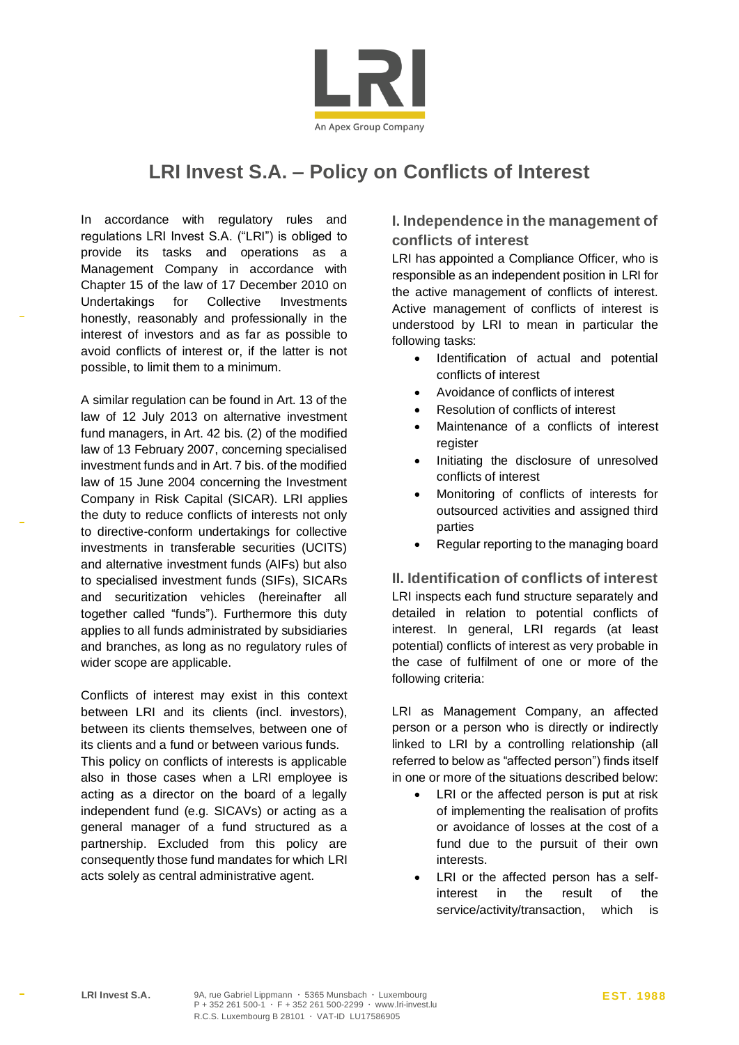

# **LRI Invest S.A. – Policy on Conflicts of Interest**

In accordance with regulatory rules and regulations LRI Invest S.A. ("LRI") is obliged to provide its tasks and operations as a Management Company in accordance with Chapter 15 of the law of 17 December 2010 on Undertakings for Collective Investments honestly, reasonably and professionally in the interest of investors and as far as possible to avoid conflicts of interest or, if the latter is not possible, to limit them to a minimum.

A similar regulation can be found in Art. 13 of the law of 12 July 2013 on alternative investment fund managers, in Art. 42 bis. (2) of the modified law of 13 February 2007, concerning specialised investment funds and in Art. 7 bis. of the modified law of 15 June 2004 concerning the Investment Company in Risk Capital (SICAR). LRI applies the duty to reduce conflicts of interests not only to directive-conform undertakings for collective investments in transferable securities (UCITS) and alternative investment funds (AIFs) but also to specialised investment funds (SIFs), SICARs and securitization vehicles (hereinafter all together called "funds"). Furthermore this duty applies to all funds administrated by subsidiaries and branches, as long as no regulatory rules of wider scope are applicable.

Conflicts of interest may exist in this context between LRI and its clients (incl. investors), between its clients themselves, between one of its clients and a fund or between various funds.

This policy on conflicts of interests is applicable also in those cases when a LRI employee is acting as a director on the board of a legally independent fund (e.g. SICAVs) or acting as a general manager of a fund structured as a partnership. Excluded from this policy are consequently those fund mandates for which LRI acts solely as central administrative agent.

## **I. Independence in the management of conflicts of interest**

LRI has appointed a Compliance Officer, who is responsible as an independent position in LRI for the active management of conflicts of interest. Active management of conflicts of interest is understood by LRI to mean in particular the following tasks:

- Identification of actual and potential conflicts of interest
- Avoidance of conflicts of interest
- Resolution of conflicts of interest
- Maintenance of a conflicts of interest register
- Initiating the disclosure of unresolved conflicts of interest
- Monitoring of conflicts of interests for outsourced activities and assigned third parties
- Regular reporting to the managing board

**II. Identification of conflicts of interest**  LRI inspects each fund structure separately and detailed in relation to potential conflicts of

interest. In general, LRI regards (at least potential) conflicts of interest as very probable in the case of fulfilment of one or more of the following criteria:

LRI as Management Company, an affected person or a person who is directly or indirectly linked to LRI by a controlling relationship (all referred to below as "affected person") finds itself in one or more of the situations described below:

- LRI or the affected person is put at risk of implementing the realisation of profits or avoidance of losses at the cost of a fund due to the pursuit of their own interests.
- LRI or the affected person has a selfinterest in the result of the service/activity/transaction, which is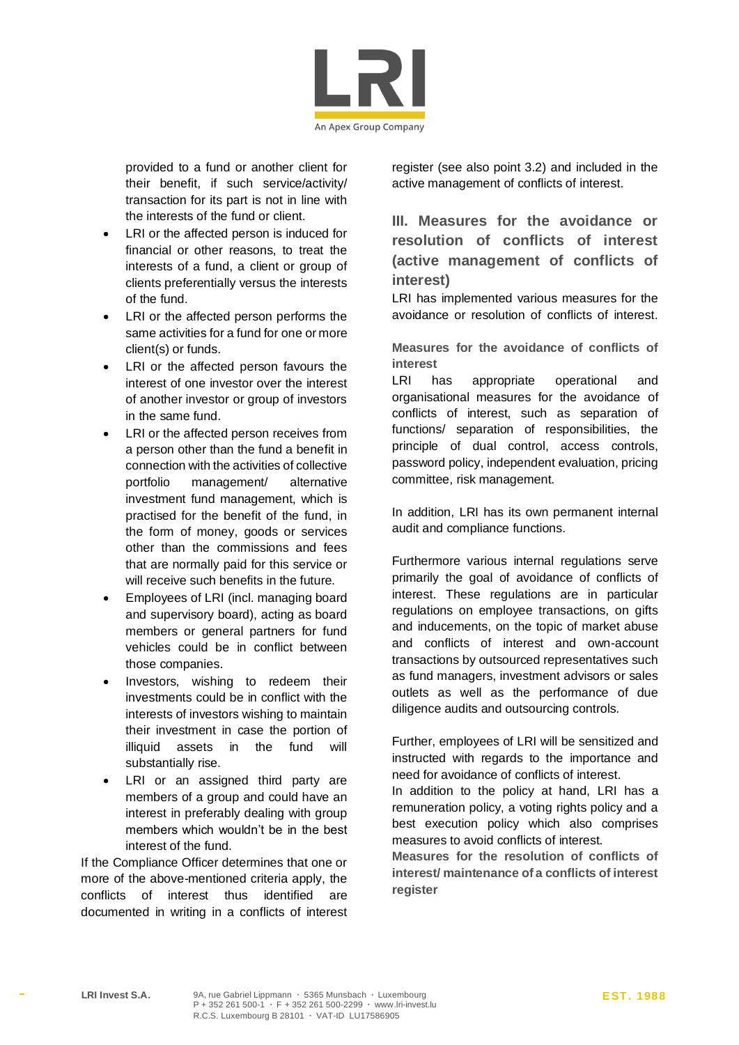

provided to a fund or another client for their benefit, if such service/activity/ transaction for its part is not in line with the interests of the fund or client.

- LRI or the affected person is induced for financial or other reasons, to treat the interests of a fund, a client or group of clients preferentially versus the interests of the fund.
- LRI or the affected person performs the same activities for a fund for one or more client(s) or funds.
- LRI or the affected person favours the interest of one investor over the interest of another investor or group of investors in the same fund.
- LRI or the affected person receives from a person other than the fund a benefit in connection with the activities of collective portfolio management/ alternative investment fund management, which is practised for the benefit of the fund, in the form of money, goods or services other than the commissions and fees that are normally paid for this service or will receive such benefits in the future.
- Employees of LRI (incl. managing board and supervisory board), acting as board members or general partners for fund vehicles could be in conflict between those companies.
- Investors, wishing to redeem their investments could be in conflict with the interests of investors wishing to maintain their investment in case the portion of illiquid assets in the fund will substantially rise.
- LRI or an assigned third party are members of a group and could have an interest in preferably dealing with group members which wouldn't be in the best interest of the fund.

If the Compliance Officer determines that one or more of the above-mentioned criteria apply, the conflicts of interest thus identified are documented in writing in a conflicts of interest register (see also point 3.2) and included in the active management of conflicts of interest.

**III. Measures for the avoidance or resolution of conflicts of interest (active management of conflicts of interest)**

LRI has implemented various measures for the avoidance or resolution of conflicts of interest.

**Measures for the avoidance of conflicts of interest**

LRI has appropriate operational and organisational measures for the avoidance of conflicts of interest, such as separation of functions/ separation of responsibilities, the principle of dual control, access controls, password policy, independent evaluation, pricing committee, risk management.

In addition, LRI has its own permanent internal audit and compliance functions.

Furthermore various internal regulations serve primarily the goal of avoidance of conflicts of interest. These regulations are in particular regulations on employee transactions, on gifts and inducements, on the topic of market abuse and conflicts of interest and own-account transactions by outsourced representatives such as fund managers, investment advisors or sales outlets as well as the performance of due diligence audits and outsourcing controls.

Further, employees of LRI will be sensitized and instructed with regards to the importance and need for avoidance of conflicts of interest.

In addition to the policy at hand, LRI has a remuneration policy, a voting rights policy and a best execution policy which also comprises measures to avoid conflicts of interest.

**Measures for the resolution of conflicts of interest/ maintenance of a conflicts of interest register**